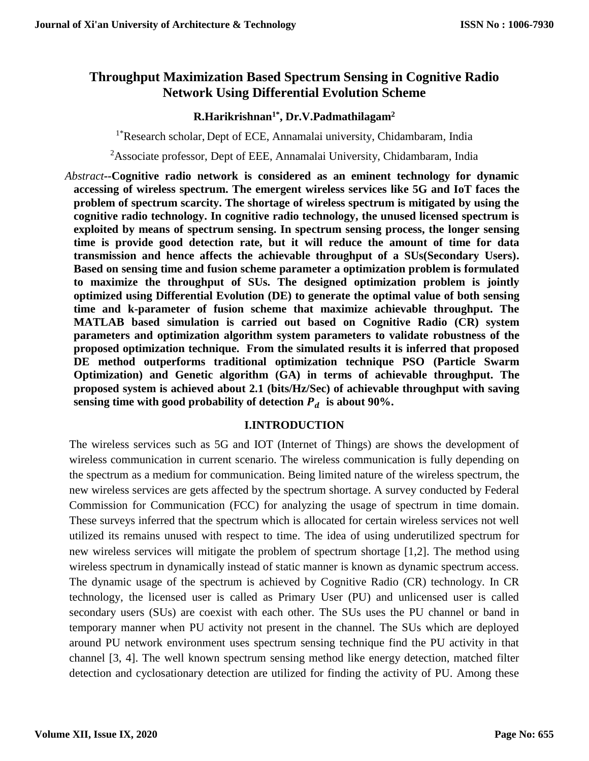# **Throughput Maximization Based Spectrum Sensing in Cognitive Radio Network Using Differential Evolution Scheme**

### **R.Harikrishnan1\*, Dr.V.Padmathilagam<sup>2</sup>**

<sup>1\*</sup>Research scholar, Dept of ECE, Annamalai university, Chidambaram, India

<sup>2</sup>Associate professor, Dept of EEE, Annamalai University, Chidambaram, India

*Abstract--***Cognitive radio network is considered as an eminent technology for dynamic accessing of wireless spectrum. The emergent wireless services like 5G and IoT faces the problem of spectrum scarcity. The shortage of wireless spectrum is mitigated by using the cognitive radio technology. In cognitive radio technology, the unused licensed spectrum is exploited by means of spectrum sensing. In spectrum sensing process, the longer sensing time is provide good detection rate, but it will reduce the amount of time for data transmission and hence affects the achievable throughput of a SUs(Secondary Users). Based on sensing time and fusion scheme parameter a optimization problem is formulated to maximize the throughput of SUs. The designed optimization problem is jointly optimized using Differential Evolution (DE) to generate the optimal value of both sensing time and k-parameter of fusion scheme that maximize achievable throughput. The MATLAB based simulation is carried out based on Cognitive Radio (CR) system parameters and optimization algorithm system parameters to validate robustness of the proposed optimization technique. From the simulated results it is inferred that proposed DE method outperforms traditional optimization technique PSO (Particle Swarm Optimization) and Genetic algorithm (GA) in terms of achievable throughput. The proposed system is achieved about 2.1 (bits/Hz/Sec) of achievable throughput with saving sensing time with good probability of detection**  $P_d$  **is about 90%.** 

### **I.INTRODUCTION**

The wireless services such as 5G and IOT (Internet of Things) are shows the development of wireless communication in current scenario. The wireless communication is fully depending on the spectrum as a medium for communication. Being limited nature of the wireless spectrum, the new wireless services are gets affected by the spectrum shortage. A survey conducted by Federal Commission for Communication (FCC) for analyzing the usage of spectrum in time domain. These surveys inferred that the spectrum which is allocated for certain wireless services not well utilized its remains unused with respect to time. The idea of using underutilized spectrum for new wireless services will mitigate the problem of spectrum shortage [1,2]. The method using wireless spectrum in dynamically instead of static manner is known as dynamic spectrum access. The dynamic usage of the spectrum is achieved by Cognitive Radio (CR) technology. In CR technology, the licensed user is called as Primary User (PU) and unlicensed user is called secondary users (SUs) are coexist with each other. The SUs uses the PU channel or band in temporary manner when PU activity not present in the channel. The SUs which are deployed around PU network environment uses spectrum sensing technique find the PU activity in that channel [3, 4]. The well known spectrum sensing method like energy detection, matched filter detection and cyclosationary detection are utilized for finding the activity of PU. Among these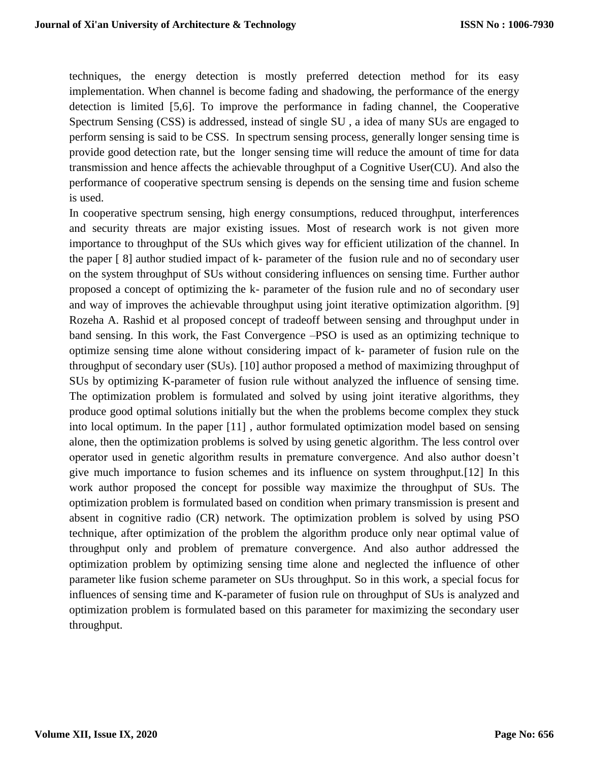techniques, the energy detection is mostly preferred detection method for its easy implementation. When channel is become fading and shadowing, the performance of the energy detection is limited [5,6]. To improve the performance in fading channel, the Cooperative Spectrum Sensing (CSS) is addressed, instead of single SU , a idea of many SUs are engaged to perform sensing is said to be CSS. In spectrum sensing process, generally longer sensing time is provide good detection rate, but the longer sensing time will reduce the amount of time for data transmission and hence affects the achievable throughput of a Cognitive User(CU). And also the performance of cooperative spectrum sensing is depends on the sensing time and fusion scheme is used.

In cooperative spectrum sensing, high energy consumptions, reduced throughput, interferences and security threats are major existing issues. Most of research work is not given more importance to throughput of the SUs which gives way for efficient utilization of the channel. In the paper [ 8] author studied impact of k- parameter of the fusion rule and no of secondary user on the system throughput of SUs without considering influences on sensing time. Further author proposed a concept of optimizing the k- parameter of the fusion rule and no of secondary user and way of improves the achievable throughput using joint iterative optimization algorithm. [9] Rozeha A. Rashid et al proposed concept of tradeoff between sensing and throughput under in band sensing. In this work, the Fast Convergence –PSO is used as an optimizing technique to optimize sensing time alone without considering impact of k- parameter of fusion rule on the throughput of secondary user (SUs). [10] author proposed a method of maximizing throughput of SUs by optimizing K-parameter of fusion rule without analyzed the influence of sensing time. The optimization problem is formulated and solved by using joint iterative algorithms, they produce good optimal solutions initially but the when the problems become complex they stuck into local optimum. In the paper [11] , author formulated optimization model based on sensing alone, then the optimization problems is solved by using genetic algorithm. The less control over operator used in genetic algorithm results in premature convergence. And also author doesn't give much importance to fusion schemes and its influence on system throughput.[12] In this work author proposed the concept for possible way maximize the throughput of SUs. The optimization problem is formulated based on condition when primary transmission is present and absent in cognitive radio (CR) network. The optimization problem is solved by using PSO technique, after optimization of the problem the algorithm produce only near optimal value of throughput only and problem of premature convergence. And also author addressed the optimization problem by optimizing sensing time alone and neglected the influence of other parameter like fusion scheme parameter on SUs throughput. So in this work, a special focus for influences of sensing time and K-parameter of fusion rule on throughput of SUs is analyzed and optimization problem is formulated based on this parameter for maximizing the secondary user throughput.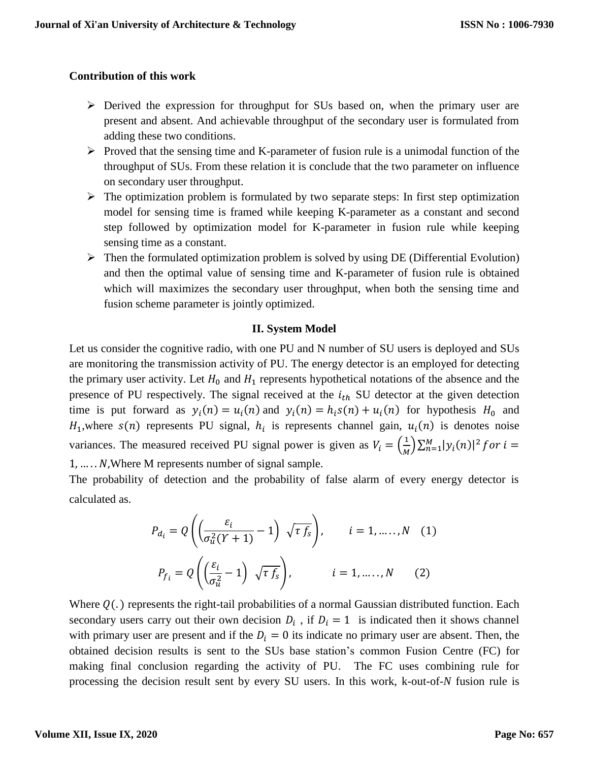### **Contribution of this work**

- $\triangleright$  Derived the expression for throughput for SUs based on, when the primary user are present and absent. And achievable throughput of the secondary user is formulated from adding these two conditions.
- $\triangleright$  Proved that the sensing time and K-parameter of fusion rule is a unimodal function of the throughput of SUs. From these relation it is conclude that the two parameter on influence on secondary user throughput.
- $\triangleright$  The optimization problem is formulated by two separate steps: In first step optimization model for sensing time is framed while keeping K-parameter as a constant and second step followed by optimization model for K-parameter in fusion rule while keeping sensing time as a constant.
- $\triangleright$  Then the formulated optimization problem is solved by using DE (Differential Evolution) and then the optimal value of sensing time and K-parameter of fusion rule is obtained which will maximizes the secondary user throughput, when both the sensing time and fusion scheme parameter is jointly optimized.

### **II. System Model**

Let us consider the cognitive radio, with one PU and N number of SU users is deployed and SUs are monitoring the transmission activity of PU. The energy detector is an employed for detecting the primary user activity. Let  $H_0$  and  $H_1$  represents hypothetical notations of the absence and the presence of PU respectively. The signal received at the  $i_{th}$  SU detector at the given detection time is put forward as  $y_i(n) = u_i(n)$  and  $y_i(n) = h_i s(n) + u_i(n)$  for hypothesis  $H_0$  and  $H_1$ , where  $s(n)$  represents PU signal,  $h_i$  is represents channel gain,  $u_i(n)$  is denotes noise variances. The measured received PU signal power is given as  $V_i = \left(\frac{1}{M}\right)^2$  $\sum_{n=1}^{1} |\mathcal{Y}_i(n)|^2$  for  $i =$  $1, \ldots, N$ , Where M represents number of signal sample.

The probability of detection and the probability of false alarm of every energy detector is calculated as.

$$
P_{d_i} = Q\left(\left(\frac{\varepsilon_i}{\sigma_u^2(Y+1)} - 1\right) \sqrt{\tau f_s}\right), \qquad i = 1, \dots, N \quad (1)
$$

$$
P_{f_i} = Q\left(\left(\frac{\varepsilon_i}{\sigma_u^2} - 1\right) \sqrt{\tau f_s}\right), \qquad i = 1, \dots, N \quad (2)
$$

Where  $Q(.)$  represents the right-tail probabilities of a normal Gaussian distributed function. Each secondary users carry out their own decision  $D_i$ , if  $D_i = 1$  is indicated then it shows channel with primary user are present and if the  $D_i = 0$  its indicate no primary user are absent. Then, the obtained decision results is sent to the SUs base station's common Fusion Centre (FC) for making final conclusion regarding the activity of PU. The FC uses combining rule for processing the decision result sent by every SU users. In this work, k-out-of-*N* fusion rule is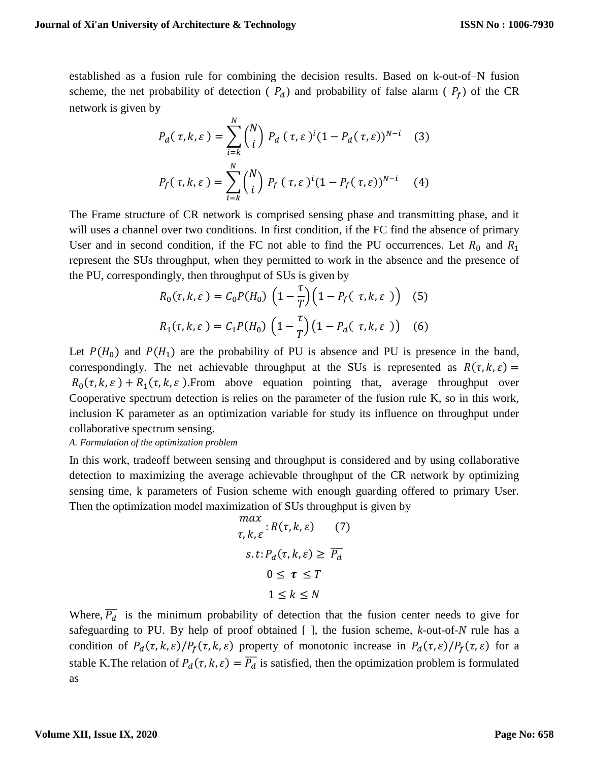established as a fusion rule for combining the decision results. Based on k-out-of–N fusion scheme, the net probability of detection ( $P_d$ ) and probability of false alarm ( $P_f$ ) of the CR network is given by

$$
P_d(\tau, k, \varepsilon) = \sum_{i=k}^{N} {N \choose i} P_d(\tau, \varepsilon)^i (1 - P_d(\tau, \varepsilon))^{N-i}
$$
 (3)  

$$
P_f(\tau, k, \varepsilon) = \sum_{i=k}^{N} {N \choose i} P_f(\tau, \varepsilon)^i (1 - P_f(\tau, \varepsilon))^{N-i}
$$
 (4)

The Frame structure of CR network is comprised sensing phase and transmitting phase, and it will uses a channel over two conditions. In first condition, if the FC find the absence of primary User and in second condition, if the FC not able to find the PU occurrences. Let  $R_0$  and  $R_1$ represent the SUs throughput, when they permitted to work in the absence and the presence of the PU, correspondingly, then throughput of SUs is given by

$$
R_0(\tau, k, \varepsilon) = C_0 P(H_0) \left(1 - \frac{\tau}{T}\right) \left(1 - P_f(\tau, k, \varepsilon)\right) \quad (5)
$$
  

$$
R_1(\tau, k, \varepsilon) = C_1 P(H_0) \left(1 - \frac{\tau}{T}\right) \left(1 - P_d(\tau, k, \varepsilon)\right) \quad (6)
$$

Let  $P(H_0)$  and  $P(H_1)$  are the probability of PU is absence and PU is presence in the band, correspondingly. The net achievable throughput at the SUs is represented as  $R(\tau, k, \varepsilon)$  =  $R_0(\tau, k, \varepsilon) + R_1(\tau, k, \varepsilon)$ . From above equation pointing that, average throughput over Cooperative spectrum detection is relies on the parameter of the fusion rule K, so in this work, inclusion K parameter as an optimization variable for study its influence on throughput under collaborative spectrum sensing.

*A. Formulation of the optimization problem*

In this work, tradeoff between sensing and throughput is considered and by using collaborative detection to maximizing the average achievable throughput of the CR network by optimizing sensing time, k parameters of Fusion scheme with enough guarding offered to primary User. Then the optimization model maximization of SUs throughput is given by

$$
\max_{\tau, k, \varepsilon} : R(\tau, k, \varepsilon) \quad (7)
$$
  
s.t:  $P_d(\tau, k, \varepsilon) \ge \overline{P_d}$   
 $0 \le \tau \le T$   
 $1 \le k \le N$ 

Where,  $\overline{P_d}$  is the minimum probability of detection that the fusion center needs to give for safeguarding to PU. By help of proof obtained [ ], the fusion scheme, *k*-out-of-*N* rule has a condition of  $P_d(\tau, k, \varepsilon)/P_f(\tau, k, \varepsilon)$  property of monotonic increase in  $P_d(\tau, \varepsilon)/P_f(\tau, \varepsilon)$  for a stable K. The relation of  $P_d(\tau, k, \varepsilon) = \overline{P_d}$  is satisfied, then the optimization problem is formulated as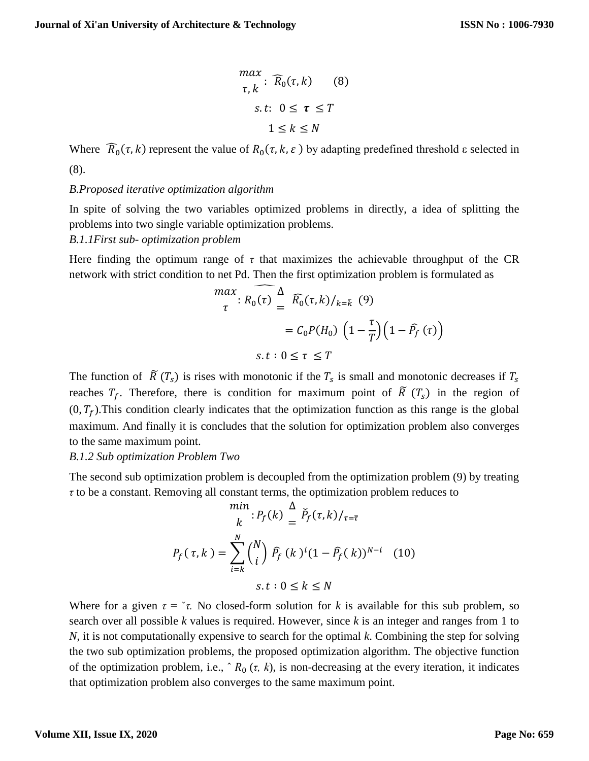$$
\max_{\tau,k} : \widehat{R}_0(\tau, k) \qquad (8)
$$
  
s.t:  $0 \le \tau \le T$   
 $1 \le k \le N$ 

Where  $\widehat{R}_0(\tau, k)$  represent the value of  $R_0(\tau, k, \varepsilon)$  by adapting predefined threshold  $\varepsilon$  selected in (8).

#### *B.Proposed iterative optimization algorithm*

In spite of solving the two variables optimized problems in directly, a idea of splitting the problems into two single variable optimization problems.

### *B.1.1First sub- optimization problem*

Here finding the optimum range of  $\tau$  that maximizes the achievable throughput of the CR network with strict condition to net Pd. Then the first optimization problem is formulated as

$$
\begin{aligned}\n\max_{\tau} \, &\widehat{R_0(\tau)} \stackrel{\Delta}{=} \widehat{R_0(\tau, k)} /_{k = \overline{k}} \, (9) \\
&= C_0 P(H_0) \left( 1 - \frac{\tau}{T} \right) \left( 1 - \widehat{P_f} \, (\tau) \right) \\
&\text{s.t} : 0 < \tau < T\n\end{aligned}
$$

The function of  $\tilde{R}(T_s)$  is rises with monotonic if the  $T_s$  is small and monotonic decreases if  $T_s$ reaches  $T_f$ . Therefore, there is condition for maximum point of  $\tilde{R}(T_s)$  in the region of  $(0, T_f)$ . This condition clearly indicates that the optimization function as this range is the global maximum. And finally it is concludes that the solution for optimization problem also converges to the same maximum point.

#### *B.1.2 Sub optimization Problem Two*

The second sub optimization problem is decoupled from the optimization problem (9) by treating *τ* to be a constant. Removing all constant terms, the optimization problem reduces to

$$
\begin{aligned}\n\min_{k} \, &: P_f(k) \stackrel{\Delta}{=} \check{P}_f(\tau, k) /_{\tau = \bar{\tau}} \\
P_f(\tau, k) &= \sum_{i=k}^{N} \binom{N}{i} \, \hat{P}_f(k)^i (1 - \hat{P}_f(k))^{N-i} \\
& \text{s.t} \, &: 0 \le k \le N\n\end{aligned}
$$

Where for a given  $\tau = \tau$ . No closed-form solution for *k* is available for this sub problem, so search over all possible *k* values is required. However, since *k* is an integer and ranges from 1 to *N*, it is not computationally expensive to search for the optimal *k*. Combining the step for solving the two sub optimization problems, the proposed optimization algorithm. The objective function of the optimization problem, i.e.,  $R_0(\tau, k)$ , is non-decreasing at the every iteration, it indicates that optimization problem also converges to the same maximum point.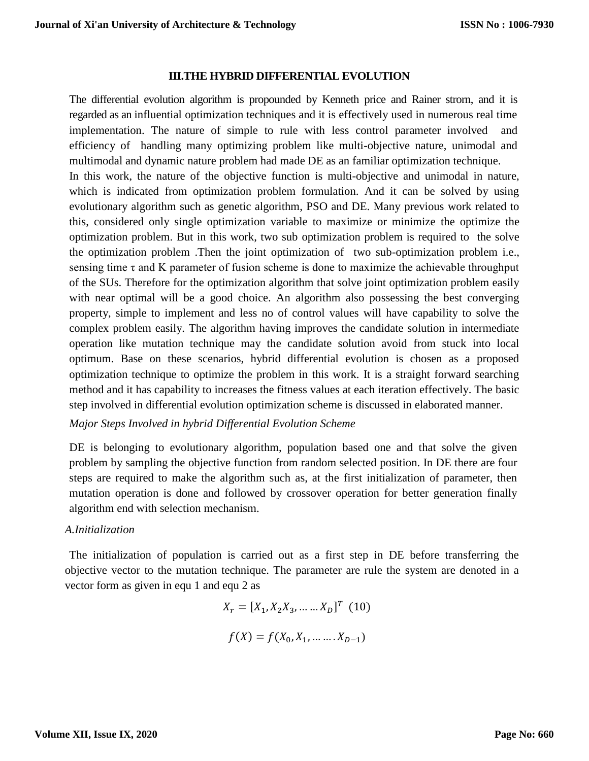#### **III.THE HYBRID DIFFERENTIAL EVOLUTION**

The differential evolution algorithm is propounded by Kenneth price and Rainer strorn, and it is regarded as an influential optimization techniques and it is effectively used in numerous real time implementation. The nature of simple to rule with less control parameter involved and efficiency of handling many optimizing problem like multi-objective nature, unimodal and multimodal and dynamic nature problem had made DE as an familiar optimization technique.

In this work, the nature of the objective function is multi-objective and unimodal in nature, which is indicated from optimization problem formulation. And it can be solved by using evolutionary algorithm such as genetic algorithm, PSO and DE. Many previous work related to this, considered only single optimization variable to maximize or minimize the optimize the optimization problem. But in this work, two sub optimization problem is required to the solve the optimization problem .Then the joint optimization of two sub-optimization problem i.e., sensing time  $\tau$  and K parameter of fusion scheme is done to maximize the achievable throughput of the SUs. Therefore for the optimization algorithm that solve joint optimization problem easily with near optimal will be a good choice. An algorithm also possessing the best converging property, simple to implement and less no of control values will have capability to solve the complex problem easily. The algorithm having improves the candidate solution in intermediate operation like mutation technique may the candidate solution avoid from stuck into local optimum. Base on these scenarios, hybrid differential evolution is chosen as a proposed optimization technique to optimize the problem in this work. It is a straight forward searching method and it has capability to increases the fitness values at each iteration effectively. The basic step involved in differential evolution optimization scheme is discussed in elaborated manner.

*Major Steps Involved in hybrid Differential Evolution Scheme*

DE is belonging to evolutionary algorithm, population based one and that solve the given problem by sampling the objective function from random selected position. In DE there are four steps are required to make the algorithm such as, at the first initialization of parameter, then mutation operation is done and followed by crossover operation for better generation finally algorithm end with selection mechanism.

#### *A.Initialization*

The initialization of population is carried out as a first step in DE before transferring the objective vector to the mutation technique. The parameter are rule the system are denoted in a vector form as given in equ 1 and equ 2 as

$$
X_r = [X_1, X_2X_3, \dots \dots X_D]^T
$$
 (10)  

$$
f(X) = f(X_0, X_1, \dots \dots X_{D-1})
$$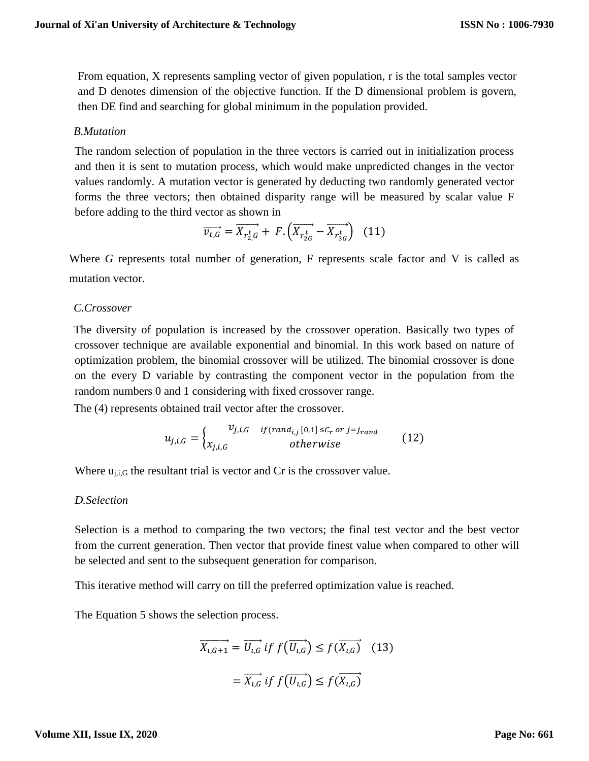From equation, X represents sampling vector of given population, r is the total samples vector and D denotes dimension of the objective function. If the D dimensional problem is govern, then DE find and searching for global minimum in the population provided.

### *B.Mutation*

The random selection of population in the three vectors is carried out in initialization process and then it is sent to mutation process, which would make unpredicted changes in the vector values randomly. A mutation vector is generated by deducting two randomly generated vector forms the three vectors; then obtained disparity range will be measured by scalar value F before adding to the third vector as shown in

$$
\overrightarrow{v_{t,G}} = \overrightarrow{X_{r_{2,G}^t}} + F. \left( \overrightarrow{X_{r_{2G}^t}} - \overrightarrow{X_{r_{3G}^t}} \right) \tag{11}
$$

Where *G* represents total number of generation, F represents scale factor and V is called as mutation vector.

### *C.Crossover*

The diversity of population is increased by the crossover operation. Basically two types of crossover technique are available exponential and binomial. In this work based on nature of optimization problem, the binomial crossover will be utilized. The binomial crossover is done on the every D variable by contrasting the component vector in the population from the random numbers 0 and 1 considering with fixed crossover range.

The (4) represents obtained trail vector after the crossover.

$$
u_{j,i,G} = \begin{cases} v_{j,i,G} & if(rand_{i,j}[0,1] \leq C_r \text{ or } j = j_{rand} \\ x_{j,i,G} & otherwise \end{cases}
$$
 (12)

Where  $u_{i,i,G}$  the resultant trial is vector and Cr is the crossover value.

### *D.Selection*

Selection is a method to comparing the two vectors; the final test vector and the best vector from the current generation. Then vector that provide finest value when compared to other will be selected and sent to the subsequent generation for comparison.

This iterative method will carry on till the preferred optimization value is reached.

The Equation 5 shows the selection process.

$$
\overrightarrow{X_{i,G+1}} = \overrightarrow{U_{i,G}} \text{ if } f(\overrightarrow{U_{i,G}}) \le f(\overrightarrow{X_{i,G}}) \quad (13)
$$

$$
= \overrightarrow{X_{i,G}} \text{ if } f(\overrightarrow{U_{i,G}}) \le f(\overrightarrow{X_{i,G}})
$$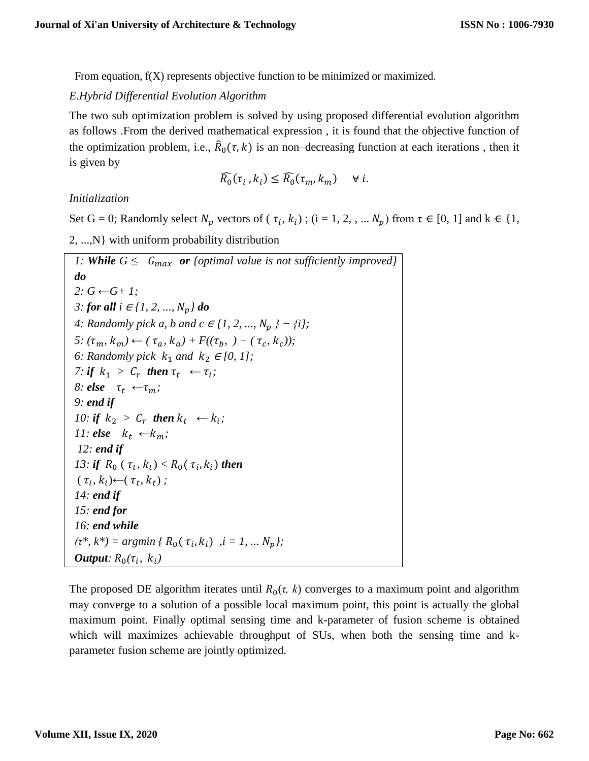From equation, f(X) represents objective function to be minimized or maximized.

### *E.Hybrid Differential Evolution Algorithm*

The two sub optimization problem is solved by using proposed differential evolution algorithm as follows .From the derived mathematical expression , it is found that the objective function of the optimization problem, i.e.,  $\hat{R}_0(\tau, k)$  is an non-decreasing function at each iterations, then it is given by

$$
\widehat{R_0}(\tau_i, k_i) \le \widehat{R_0}(\tau_m, k_m) \quad \forall i.
$$

*Initialization*

Set G = 0; Randomly select  $N_p$  vectors of ( $\tau_i, k_i$ ); (i = 1, 2, , ...  $N_p$ ) from  $\tau \in [0, 1]$  and  $k \in \{1, \tau_i\}$ 2, ...,N} with uniform probability distribution

```
1: While G \leq G_{max} or {optimal value is not sufficiently improved}
do
2: G ←G+ 1;
3: for all i ∈ {1, 2, ..., N_n} do
4: Randomly pick a, b and c ∈ {1, 2, ..., N_n } − {i};
5: (\tau_m, k_m) \leftarrow (\tau_a, k_a) + F((\tau_b, \cdot) - (\tau_c, k_c));
6: Randomly pick k_1 and k_2 \in [0, 1];
7: if k_1 > C_r then \tau_t \leftarrow \tau_i;
8: else \tau_t \leftarrow \tau_m;
9: end if
10: if k_2 > C_r then k_t \leftarrow k_i;
11: else k_t \leftarrow k_m;
12: end if
13: if R_0(\tau_t, k_t) < R_0(\tau_i, k_i) then
 (\tau_i, k_i) \leftarrow (\tau_t, k_t);
14: end if
15: end for
16: end while
(\tau^*, k^*) = \text{argmin} \{ R_0(\tau_i, k_i) , i = 1, ..., N_p \};Output: R_0(\tau_i, k_i)
```
The proposed DE algorithm iterates until  $R_0(\tau, k)$  converges to a maximum point and algorithm may converge to a solution of a possible local maximum point, this point is actually the global maximum point. Finally optimal sensing time and k-parameter of fusion scheme is obtained which will maximizes achievable throughput of SUs, when both the sensing time and kparameter fusion scheme are jointly optimized.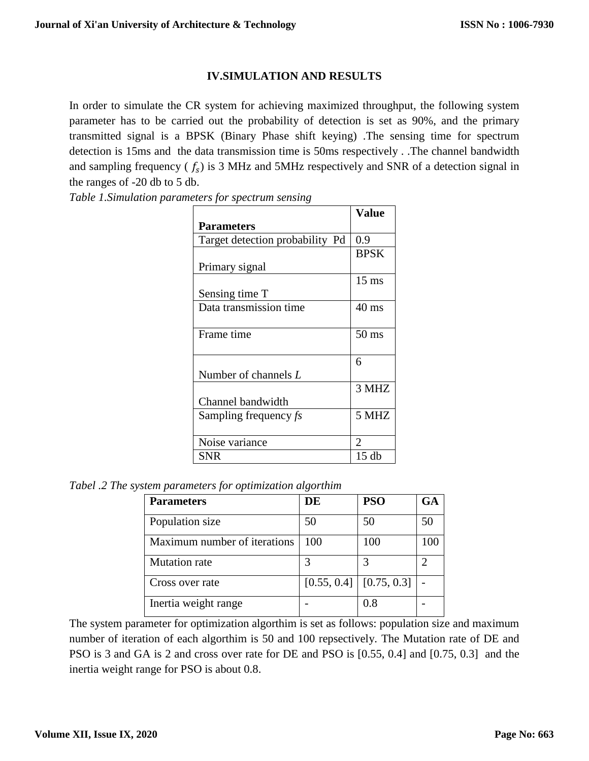# **IV.SIMULATION AND RESULTS**

In order to simulate the CR system for achieving maximized throughput, the following system parameter has to be carried out the probability of detection is set as 90%, and the primary transmitted signal is a BPSK (Binary Phase shift keying) .The sensing time for spectrum detection is 15ms and the data transmission time is 50ms respectively . .The channel bandwidth and sampling frequency ( $f_s$ ) is 3 MHz and 5MHz respectively and SNR of a detection signal in the ranges of -20 db to 5 db.

*Table 1.Simulation parameters for spectrum sensing*

|                                 | Value           |
|---------------------------------|-----------------|
| <b>Parameters</b>               |                 |
| Target detection probability Pd | 0.9             |
|                                 | <b>BPSK</b>     |
| Primary signal                  |                 |
|                                 | $15 \text{ ms}$ |
| Sensing time T                  |                 |
| Data transmission time          | $40 \text{ ms}$ |
|                                 |                 |
| Frame time                      | $50 \text{ ms}$ |
|                                 |                 |
|                                 | 6               |
| Number of channels L            |                 |
|                                 | 3 MHZ           |
| Channel bandwidth               |                 |
| Sampling frequency fs           | 5 MHZ           |
|                                 |                 |
| Noise variance                  | 2               |
| SNR                             | 15 db           |

*Tabel .2 The system parameters for optimization algorthim*

| <b>Parameters</b>            | DE  | <b>PSO</b>                | <b>GA</b> |
|------------------------------|-----|---------------------------|-----------|
| Population size              | 50  | 50                        | 50        |
| Maximum number of iterations | 100 | 100                       | 100       |
| <b>Mutation</b> rate         |     |                           |           |
| Cross over rate              |     | $[0.55, 0.4]$ [0.75, 0.3] |           |
| Inertia weight range         |     | 0.8                       |           |

The system parameter for optimization algorthim is set as follows: population size and maximum number of iteration of each algorthim is 50 and 100 repsectively. The Mutation rate of DE and PSO is 3 and GA is 2 and cross over rate for DE and PSO is [0.55, 0.4] and [0.75, 0.3] and the inertia weight range for PSO is about 0.8.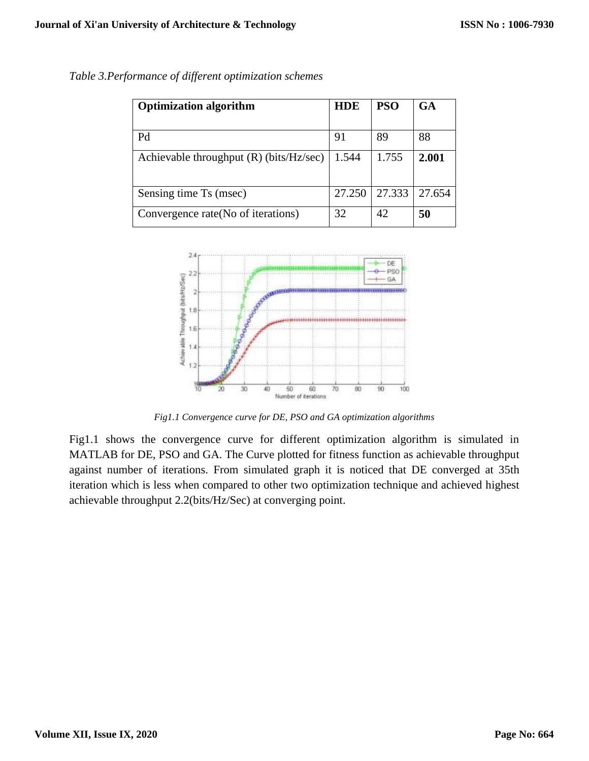| <b>Optimization algorithm</b>             | <b>HDE</b> | <b>PSO</b> | GA     |
|-------------------------------------------|------------|------------|--------|
|                                           |            |            |        |
| Pd                                        | 91         | 89         | 88     |
| Achievable throughput $(R)$ (bits/Hz/sec) | 1.544      | 1.755      | 2.001  |
| Sensing time Ts (msec)                    | 27.250     | 27.333     | 27.654 |
| Convergence rate (No of iterations)       | 32         | 42         | 50     |

*Table 3.Performance of different optimization schemes*



*Fig1.1 Convergence curve for DE, PSO and GA optimization algorithms*

Fig1.1 shows the convergence curve for different optimization algorithm is simulated in MATLAB for DE, PSO and GA. The Curve plotted for fitness function as achievable throughput against number of iterations. From simulated graph it is noticed that DE converged at 35th iteration which is less when compared to other two optimization technique and achieved highest achievable throughput 2.2(bits/Hz/Sec) at converging point.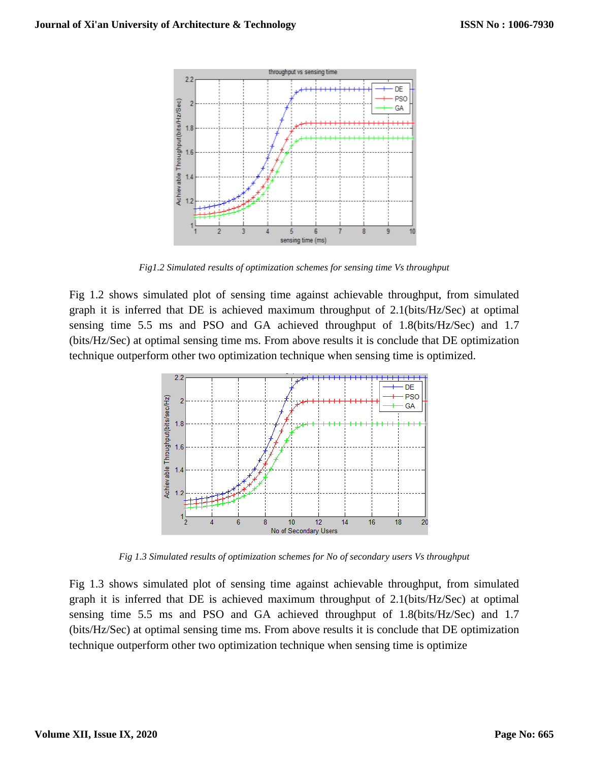

*Fig1.2 Simulated results of optimization schemes for sensing time Vs throughput* 

Fig 1.2 shows simulated plot of sensing time against achievable throughput, from simulated graph it is inferred that DE is achieved maximum throughput of 2.1(bits/Hz/Sec) at optimal sensing time 5.5 ms and PSO and GA achieved throughput of 1.8(bits/Hz/Sec) and 1.7 (bits/Hz/Sec) at optimal sensing time ms. From above results it is conclude that DE optimization technique outperform other two optimization technique when sensing time is optimized.



*Fig 1.3 Simulated results of optimization schemes for No of secondary users Vs throughput* 

Fig 1.3 shows simulated plot of sensing time against achievable throughput, from simulated graph it is inferred that DE is achieved maximum throughput of 2.1(bits/Hz/Sec) at optimal sensing time 5.5 ms and PSO and GA achieved throughput of 1.8(bits/Hz/Sec) and 1.7 (bits/Hz/Sec) at optimal sensing time ms. From above results it is conclude that DE optimization technique outperform other two optimization technique when sensing time is optimize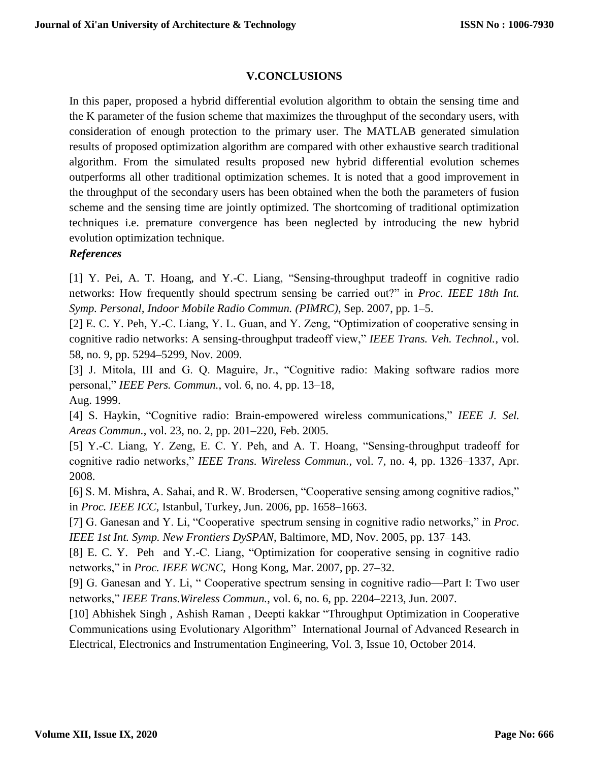# **V.CONCLUSIONS**

In this paper, proposed a hybrid differential evolution algorithm to obtain the sensing time and the K parameter of the fusion scheme that maximizes the throughput of the secondary users, with consideration of enough protection to the primary user. The MATLAB generated simulation results of proposed optimization algorithm are compared with other exhaustive search traditional algorithm. From the simulated results proposed new hybrid differential evolution schemes outperforms all other traditional optimization schemes. It is noted that a good improvement in the throughput of the secondary users has been obtained when the both the parameters of fusion scheme and the sensing time are jointly optimized. The shortcoming of traditional optimization techniques i.e. premature convergence has been neglected by introducing the new hybrid evolution optimization technique.

# *References*

[1] Y. Pei, A. T. Hoang, and Y.-C. Liang, "Sensing-throughput tradeoff in cognitive radio networks: How frequently should spectrum sensing be carried out?" in *Proc. IEEE 18th Int. Symp. Personal, Indoor Mobile Radio Commun. (PIMRC)*, Sep. 2007, pp. 1–5.

[2] E. C. Y. Peh, Y.-C. Liang, Y. L. Guan, and Y. Zeng, "Optimization of cooperative sensing in cognitive radio networks: A sensing-throughput tradeoff view," *IEEE Trans. Veh. Technol.*, vol. 58, no. 9, pp. 5294–5299, Nov. 2009.

[3] J. Mitola, III and G. Q. Maguire, Jr., "Cognitive radio: Making software radios more personal," *IEEE Pers. Commun.*, vol. 6, no. 4, pp. 13–18, Aug. 1999.

[4] S. Haykin, "Cognitive radio: Brain-empowered wireless communications," *IEEE J. Sel. Areas Commun.*, vol. 23, no. 2, pp. 201–220, Feb. 2005.

[5] Y.-C. Liang, Y. Zeng, E. C. Y. Peh, and A. T. Hoang, "Sensing-throughput tradeoff for cognitive radio networks," *IEEE Trans. Wireless Commun.*, vol. 7, no. 4, pp. 1326–1337, Apr. 2008.

[6] S. M. Mishra, A. Sahai, and R. W. Brodersen, "Cooperative sensing among cognitive radios," in *Proc. IEEE ICC*, Istanbul, Turkey, Jun. 2006, pp. 1658–1663.

[7] G. Ganesan and Y. Li, "Cooperative spectrum sensing in cognitive radio networks," in *Proc. IEEE 1st Int. Symp. New Frontiers DySPAN*, Baltimore, MD, Nov. 2005, pp. 137–143.

[8] E. C. Y. Peh and Y.-C. Liang, "Optimization for cooperative sensing in cognitive radio networks," in *Proc. IEEE WCNC*, Hong Kong, Mar. 2007, pp. 27–32.

[9] G. Ganesan and Y. Li, " Cooperative spectrum sensing in cognitive radio—Part I: Two user networks," *IEEE Trans.Wireless Commun.*, vol. 6, no. 6, pp. 2204–2213, Jun. 2007.

[10] Abhishek Singh , Ashish Raman , Deepti kakkar "Throughput Optimization in Cooperative Communications using Evolutionary Algorithm" International Journal of Advanced Research in Electrical, Electronics and Instrumentation Engineering, Vol. 3, Issue 10, October 2014.